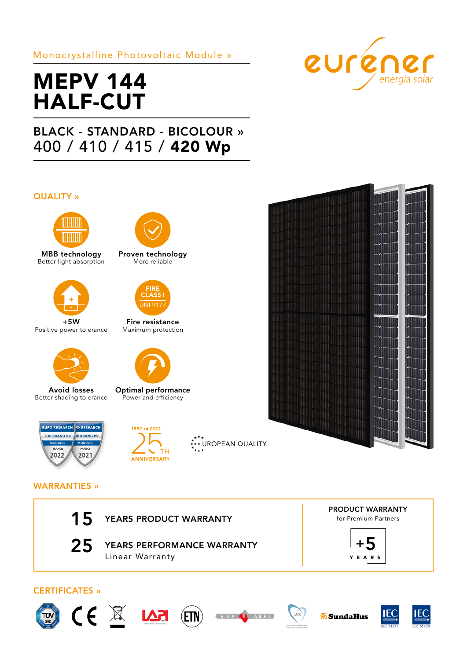# Monocrystalline Photovoltaic Module »

# MEPV 144 HALF-CUT

# BLACK - STANDARD - BICOLOUR » 400 / 410 / 415 / 420 Wp

## QUALITY »



MBB technology Better light absorption



+5W Positive power tolerance



Avoid losses Better shading tolerance





Optimal performance Power and efficiency

Proven technology More reliable

Fire resistance Maximum protection

FIRE CLASS I JNI 91

 $\stackrel{\star}{\cdot}$ \*\* UROPEAN QUALITY





# WARRANTIES »

| 15                    | YEARS PRODUCT WARRANTY                        | <b>PRODUCT WARRANTY</b><br>for Premium Partners |
|-----------------------|-----------------------------------------------|-------------------------------------------------|
| 25                    | YEARS PERFORMANCE WARRANTY<br>Linear Warranty | YEARS                                           |
| <b>CERTIFICATES</b> » |                                               |                                                 |
|                       | VKF<br>AEA                                    | EC<br>MCS<br>SundaHus                           |